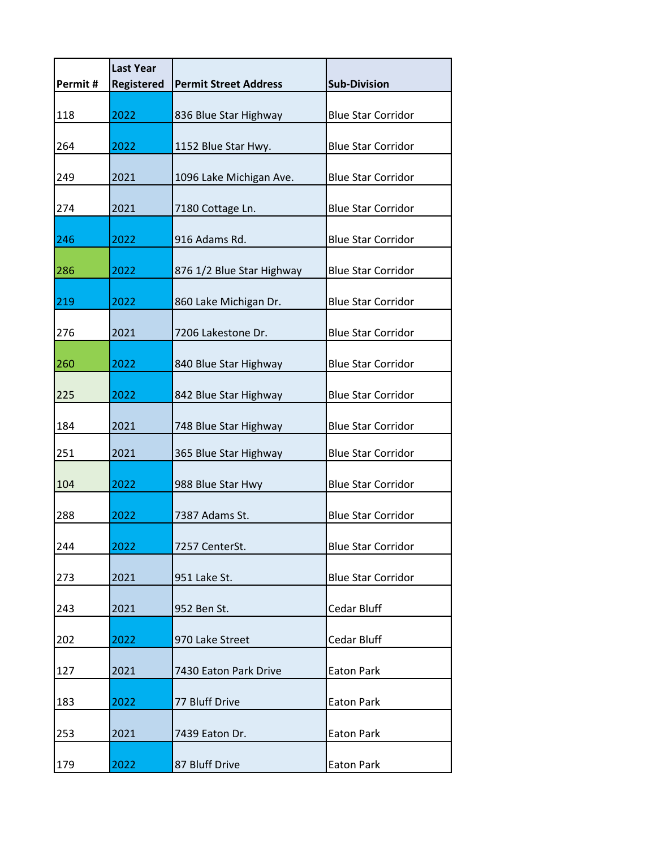| Permit# | <b>Last Year</b><br><b>Registered</b> | <b>Permit Street Address</b> | <b>Sub-Division</b>       |
|---------|---------------------------------------|------------------------------|---------------------------|
| 118     | 2022                                  | 836 Blue Star Highway        | <b>Blue Star Corridor</b> |
| 264     | 2022                                  | 1152 Blue Star Hwy.          | <b>Blue Star Corridor</b> |
| 249     | 2021                                  | 1096 Lake Michigan Ave.      | <b>Blue Star Corridor</b> |
| 274     | 2021                                  | 7180 Cottage Ln.             | <b>Blue Star Corridor</b> |
| 246     | 2022                                  | 916 Adams Rd.                | <b>Blue Star Corridor</b> |
| 286     | 2022                                  | 876 1/2 Blue Star Highway    | <b>Blue Star Corridor</b> |
| 219     | 2022                                  | 860 Lake Michigan Dr.        | <b>Blue Star Corridor</b> |
| 276     | 2021                                  | 7206 Lakestone Dr.           | <b>Blue Star Corridor</b> |
| 260     | 2022                                  | 840 Blue Star Highway        | <b>Blue Star Corridor</b> |
| 225     | 2022                                  | 842 Blue Star Highway        | <b>Blue Star Corridor</b> |
| 184     | 2021                                  | 748 Blue Star Highway        | <b>Blue Star Corridor</b> |
| 251     | 2021                                  | 365 Blue Star Highway        | <b>Blue Star Corridor</b> |
| 104     | 2022                                  | 988 Blue Star Hwy            | <b>Blue Star Corridor</b> |
| 288     | 2022                                  | 7387 Adams St.               | <b>Blue Star Corridor</b> |
| 244     | 2022                                  | 7257 CenterSt.               | <b>Blue Star Corridor</b> |
| 273     | 2021                                  | 951 Lake St.                 | <b>Blue Star Corridor</b> |
| 243     | 2021                                  | 952 Ben St.                  | Cedar Bluff               |
| 202     | 2022                                  | 970 Lake Street              | Cedar Bluff               |
| 127     | 2021                                  | 7430 Eaton Park Drive        | <b>Eaton Park</b>         |
| 183     | 2022                                  | 77 Bluff Drive               | <b>Eaton Park</b>         |
| 253     | 2021                                  | 7439 Eaton Dr.               | <b>Eaton Park</b>         |
| 179     | 2022                                  | 87 Bluff Drive               | <b>Eaton Park</b>         |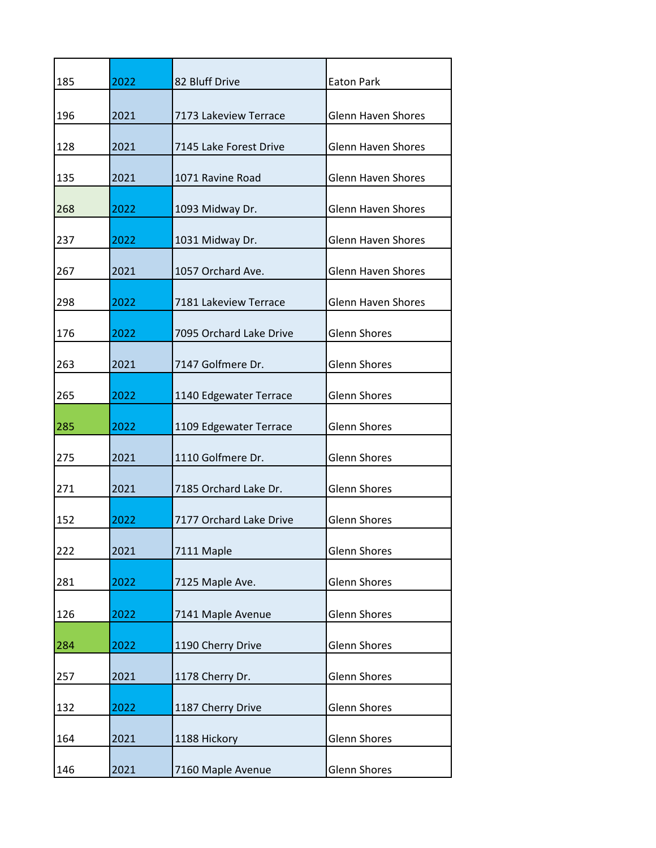| 185 | 2022 | 82 Bluff Drive          | <b>Eaton Park</b>         |
|-----|------|-------------------------|---------------------------|
| 196 | 2021 | 7173 Lakeview Terrace   | <b>Glenn Haven Shores</b> |
| 128 | 2021 | 7145 Lake Forest Drive  | <b>Glenn Haven Shores</b> |
| 135 | 2021 | 1071 Ravine Road        | <b>Glenn Haven Shores</b> |
| 268 | 2022 | 1093 Midway Dr.         | <b>Glenn Haven Shores</b> |
| 237 | 2022 | 1031 Midway Dr.         | <b>Glenn Haven Shores</b> |
| 267 | 2021 | 1057 Orchard Ave.       | <b>Glenn Haven Shores</b> |
| 298 | 2022 | 7181 Lakeview Terrace   | <b>Glenn Haven Shores</b> |
| 176 | 2022 | 7095 Orchard Lake Drive | <b>Glenn Shores</b>       |
| 263 | 2021 | 7147 Golfmere Dr.       | <b>Glenn Shores</b>       |
| 265 | 2022 | 1140 Edgewater Terrace  | <b>Glenn Shores</b>       |
| 285 | 2022 | 1109 Edgewater Terrace  | <b>Glenn Shores</b>       |
| 275 | 2021 | 1110 Golfmere Dr.       | <b>Glenn Shores</b>       |
| 271 | 2021 | 7185 Orchard Lake Dr.   | <b>Glenn Shores</b>       |
| 152 | 2022 | 7177 Orchard Lake Drive | <b>Glenn Shores</b>       |
| 222 | 2021 | 7111 Maple              | <b>Glenn Shores</b>       |
| 281 | 2022 | 7125 Maple Ave.         | <b>Glenn Shores</b>       |
| 126 | 2022 | 7141 Maple Avenue       | <b>Glenn Shores</b>       |
| 284 | 2022 | 1190 Cherry Drive       | <b>Glenn Shores</b>       |
| 257 | 2021 | 1178 Cherry Dr.         | <b>Glenn Shores</b>       |
| 132 | 2022 | 1187 Cherry Drive       | <b>Glenn Shores</b>       |
| 164 | 2021 | 1188 Hickory            | <b>Glenn Shores</b>       |
| 146 | 2021 | 7160 Maple Avenue       | <b>Glenn Shores</b>       |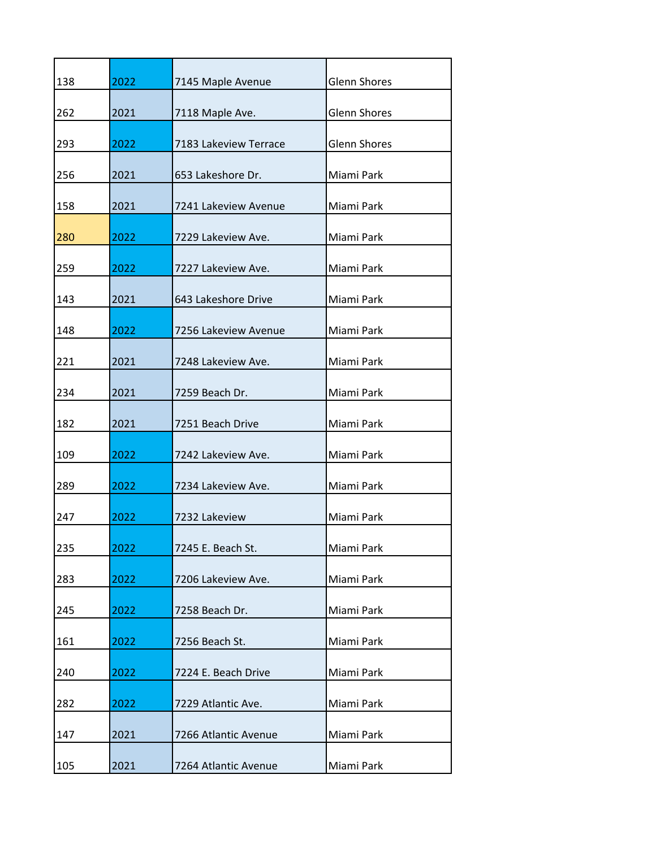| 138 | 2022 | 7145 Maple Avenue     | <b>Glenn Shores</b> |
|-----|------|-----------------------|---------------------|
| 262 | 2021 | 7118 Maple Ave.       | <b>Glenn Shores</b> |
| 293 | 2022 | 7183 Lakeview Terrace | <b>Glenn Shores</b> |
| 256 | 2021 | 653 Lakeshore Dr.     | Miami Park          |
| 158 | 2021 | 7241 Lakeview Avenue  | Miami Park          |
| 280 | 2022 | 7229 Lakeview Ave.    | Miami Park          |
| 259 | 2022 | 7227 Lakeview Ave.    | Miami Park          |
| 143 | 2021 | 643 Lakeshore Drive   | Miami Park          |
| 148 | 2022 | 7256 Lakeview Avenue  | Miami Park          |
| 221 | 2021 | 7248 Lakeview Ave.    | Miami Park          |
| 234 | 2021 | 7259 Beach Dr.        | Miami Park          |
| 182 | 2021 | 7251 Beach Drive      | Miami Park          |
| 109 | 2022 | 7242 Lakeview Ave.    | Miami Park          |
| 289 | 2022 | 7234 Lakeview Ave.    | Miami Park          |
| 247 | 2022 | 7232 Lakeview         | Miami Park          |
| 235 | 2022 | 7245 E. Beach St.     | Miami Park          |
| 283 | 2022 | 7206 Lakeview Ave.    | Miami Park          |
| 245 | 2022 | 7258 Beach Dr.        | Miami Park          |
| 161 | 2022 | 7256 Beach St.        | Miami Park          |
| 240 | 2022 | 7224 E. Beach Drive   | Miami Park          |
| 282 | 2022 | 7229 Atlantic Ave.    | Miami Park          |
| 147 | 2021 | 7266 Atlantic Avenue  | Miami Park          |
| 105 | 2021 | 7264 Atlantic Avenue  | Miami Park          |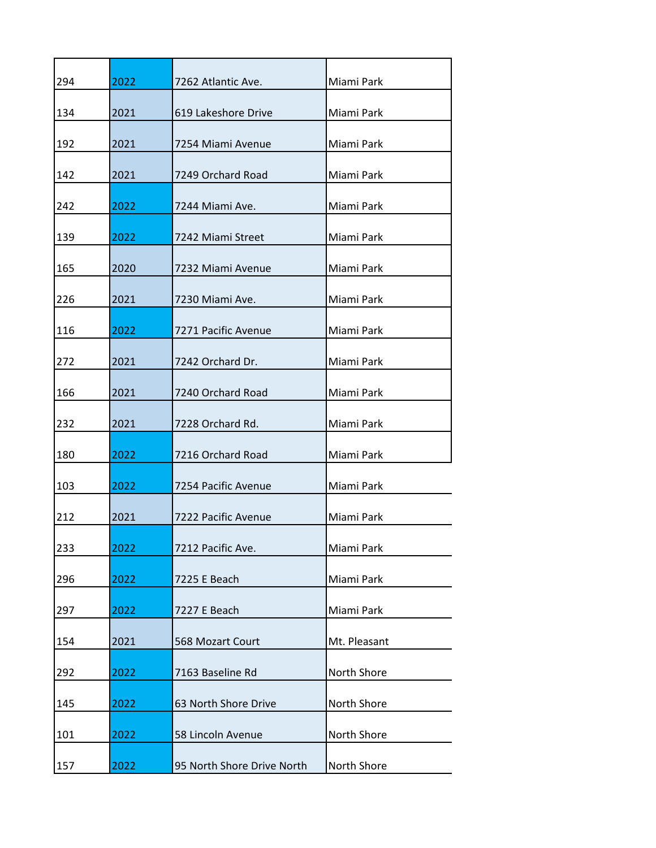| 294 | 2022 | 7262 Atlantic Ave.         | Miami Park   |
|-----|------|----------------------------|--------------|
| 134 | 2021 | 619 Lakeshore Drive        | Miami Park   |
| 192 | 2021 | 7254 Miami Avenue          | Miami Park   |
| 142 | 2021 | 7249 Orchard Road          | Miami Park   |
| 242 | 2022 | 7244 Miami Ave.            | Miami Park   |
| 139 | 2022 | 7242 Miami Street          | Miami Park   |
| 165 | 2020 | 7232 Miami Avenue          | Miami Park   |
| 226 | 2021 | 7230 Miami Ave.            | Miami Park   |
| 116 | 2022 | 7271 Pacific Avenue        | Miami Park   |
| 272 | 2021 | 7242 Orchard Dr.           | Miami Park   |
| 166 | 2021 | 7240 Orchard Road          | Miami Park   |
| 232 | 2021 | 7228 Orchard Rd.           | Miami Park   |
| 180 | 2022 | 7216 Orchard Road          | Miami Park   |
| 103 | 2022 | 7254 Pacific Avenue        | Miami Park   |
| 212 | 2021 | 7222 Pacific Avenue        | Miami Park   |
| 233 | 2022 | 7212 Pacific Ave.          | Miami Park   |
| 296 | 2022 | 7225 E Beach               | Miami Park   |
| 297 | 2022 | 7227 E Beach               | Miami Park   |
| 154 | 2021 | 568 Mozart Court           | Mt. Pleasant |
| 292 | 2022 | 7163 Baseline Rd           | North Shore  |
| 145 | 2022 | 63 North Shore Drive       | North Shore  |
| 101 | 2022 | 58 Lincoln Avenue          | North Shore  |
| 157 | 2022 | 95 North Shore Drive North | North Shore  |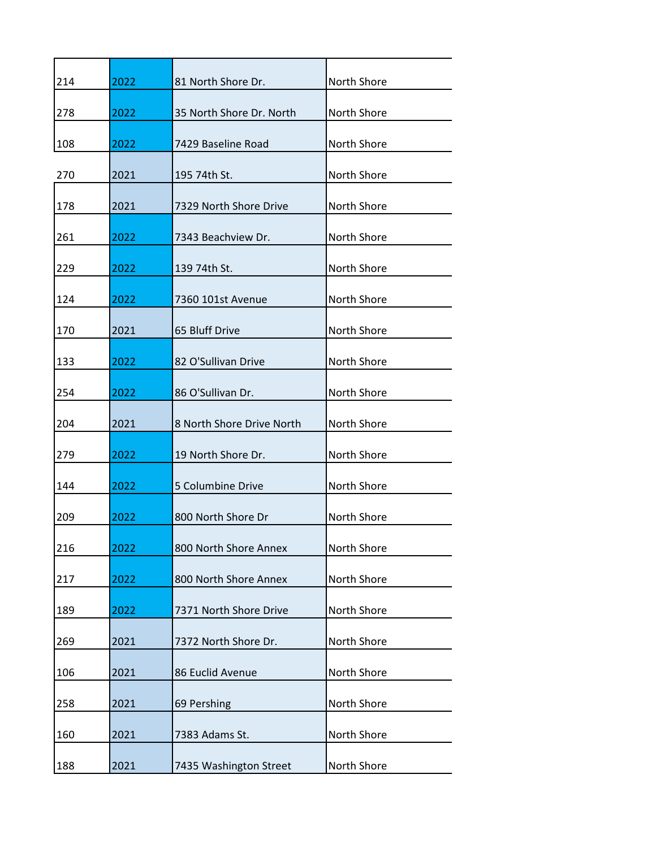| 214 | 2022 | 81 North Shore Dr.        | North Shore |
|-----|------|---------------------------|-------------|
| 278 | 2022 | 35 North Shore Dr. North  | North Shore |
| 108 | 2022 | 7429 Baseline Road        | North Shore |
| 270 | 2021 | 195 74th St.              | North Shore |
| 178 | 2021 | 7329 North Shore Drive    | North Shore |
| 261 | 2022 | 7343 Beachview Dr.        | North Shore |
| 229 | 2022 | 139 74th St.              | North Shore |
| 124 | 2022 | 7360 101st Avenue         | North Shore |
| 170 | 2021 | 65 Bluff Drive            | North Shore |
| 133 | 2022 | 82 O'Sullivan Drive       | North Shore |
| 254 | 2022 | 86 O'Sullivan Dr.         | North Shore |
| 204 | 2021 | 8 North Shore Drive North | North Shore |
| 279 | 2022 | 19 North Shore Dr.        | North Shore |
| 144 | 2022 | 5 Columbine Drive         | North Shore |
| 209 | 2022 | 800 North Shore Dr        | North Shore |
| 216 | 2022 | 800 North Shore Annex     | North Shore |
| 217 | 2022 | 800 North Shore Annex     | North Shore |
| 189 | 2022 | 7371 North Shore Drive    | North Shore |
| 269 | 2021 | 7372 North Shore Dr.      | North Shore |
| 106 | 2021 | 86 Euclid Avenue          | North Shore |
| 258 | 2021 | 69 Pershing               | North Shore |
| 160 | 2021 | 7383 Adams St.            | North Shore |
| 188 | 2021 | 7435 Washington Street    | North Shore |